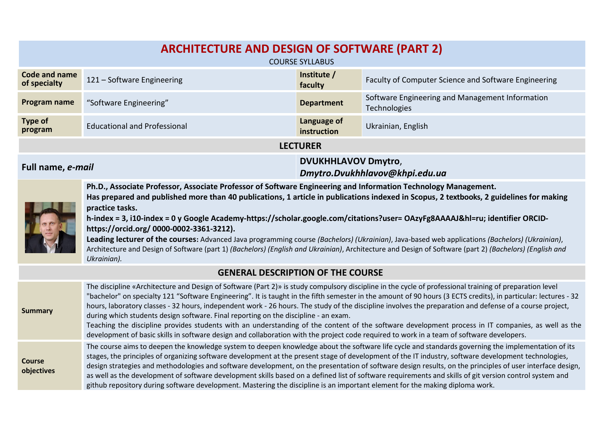| <b>ARCHITECTURE AND DESIGN OF SOFTWARE (PART 2)</b>                                                                                                                                                                                                                                                                                                                                                                                                                                                                                                                                                                                                                                                                                                                                   |                                                                                                                                                                                                                                                                                                                                                                                                                                                                                                                                                                                                                                                                                                                                                                                                                                                                                  |                                                                                |                                                                 |  |  |  |  |
|---------------------------------------------------------------------------------------------------------------------------------------------------------------------------------------------------------------------------------------------------------------------------------------------------------------------------------------------------------------------------------------------------------------------------------------------------------------------------------------------------------------------------------------------------------------------------------------------------------------------------------------------------------------------------------------------------------------------------------------------------------------------------------------|----------------------------------------------------------------------------------------------------------------------------------------------------------------------------------------------------------------------------------------------------------------------------------------------------------------------------------------------------------------------------------------------------------------------------------------------------------------------------------------------------------------------------------------------------------------------------------------------------------------------------------------------------------------------------------------------------------------------------------------------------------------------------------------------------------------------------------------------------------------------------------|--------------------------------------------------------------------------------|-----------------------------------------------------------------|--|--|--|--|
|                                                                                                                                                                                                                                                                                                                                                                                                                                                                                                                                                                                                                                                                                                                                                                                       |                                                                                                                                                                                                                                                                                                                                                                                                                                                                                                                                                                                                                                                                                                                                                                                                                                                                                  | <b>COURSE SYLLABUS</b>                                                         |                                                                 |  |  |  |  |
| <b>Code and name</b><br>of specialty                                                                                                                                                                                                                                                                                                                                                                                                                                                                                                                                                                                                                                                                                                                                                  | 121 - Software Engineering                                                                                                                                                                                                                                                                                                                                                                                                                                                                                                                                                                                                                                                                                                                                                                                                                                                       | Institute /<br>Faculty of Computer Science and Software Engineering<br>faculty |                                                                 |  |  |  |  |
| Program name                                                                                                                                                                                                                                                                                                                                                                                                                                                                                                                                                                                                                                                                                                                                                                          | "Software Engineering"                                                                                                                                                                                                                                                                                                                                                                                                                                                                                                                                                                                                                                                                                                                                                                                                                                                           | <b>Department</b>                                                              | Software Engineering and Management Information<br>Technologies |  |  |  |  |
| <b>Type of</b><br>program                                                                                                                                                                                                                                                                                                                                                                                                                                                                                                                                                                                                                                                                                                                                                             | <b>Educational and Professional</b>                                                                                                                                                                                                                                                                                                                                                                                                                                                                                                                                                                                                                                                                                                                                                                                                                                              | Language of<br>instruction                                                     | Ukrainian, English                                              |  |  |  |  |
| <b>LECTURER</b>                                                                                                                                                                                                                                                                                                                                                                                                                                                                                                                                                                                                                                                                                                                                                                       |                                                                                                                                                                                                                                                                                                                                                                                                                                                                                                                                                                                                                                                                                                                                                                                                                                                                                  |                                                                                |                                                                 |  |  |  |  |
| Full name, e-mail                                                                                                                                                                                                                                                                                                                                                                                                                                                                                                                                                                                                                                                                                                                                                                     |                                                                                                                                                                                                                                                                                                                                                                                                                                                                                                                                                                                                                                                                                                                                                                                                                                                                                  | <b>DVUKHHLAVOV Dmytro,</b><br>Dmytro.Dvukhhlavov@khpi.edu.ua                   |                                                                 |  |  |  |  |
| Ph.D., Associate Professor, Associate Professor of Software Engineering and Information Technology Management.<br>Has prepared and published more than 40 publications, 1 article in publications indexed in Scopus, 2 textbooks, 2 guidelines for making<br>practice tasks.<br>h-index = 3, i10-index = 0 y Google Academy-https://scholar.google.com/citations?user= OAzyFg8AAAAJ&hl=ru; identifier ORCID-<br>https://orcid.org/ 0000-0002-3361-3212).<br>Leading lecturer of the courses: Advanced Java programming course (Bachelors) (Ukrainian), Java-based web applications (Bachelors) (Ukrainian),<br>Architecture and Design of Software (part 1) (Bachelors) (English and Ukrainian), Architecture and Design of Software (part 2) (Bachelors) (English and<br>Ukrainian). |                                                                                                                                                                                                                                                                                                                                                                                                                                                                                                                                                                                                                                                                                                                                                                                                                                                                                  |                                                                                |                                                                 |  |  |  |  |
|                                                                                                                                                                                                                                                                                                                                                                                                                                                                                                                                                                                                                                                                                                                                                                                       | <b>GENERAL DESCRIPTION OF THE COURSE</b>                                                                                                                                                                                                                                                                                                                                                                                                                                                                                                                                                                                                                                                                                                                                                                                                                                         |                                                                                |                                                                 |  |  |  |  |
| <b>Summary</b>                                                                                                                                                                                                                                                                                                                                                                                                                                                                                                                                                                                                                                                                                                                                                                        | The discipline «Architecture and Design of Software (Part 2)» is study compulsory discipline in the cycle of professional training of preparation level<br>"bachelor" on specialty 121 "Software Engineering". It is taught in the fifth semester in the amount of 90 hours (3 ECTS credits), in particular: lectures - 32<br>hours, laboratory classes - 32 hours, independent work - 26 hours. The study of the discipline involves the preparation and defense of a course project,<br>during which students design software. Final reporting on the discipline - an exam.<br>Teaching the discipline provides students with an understanding of the content of the software development process in IT companies, as well as the<br>development of basic skills in software design and collaboration with the project code required to work in a team of software developers. |                                                                                |                                                                 |  |  |  |  |
| <b>Course</b><br>objectives                                                                                                                                                                                                                                                                                                                                                                                                                                                                                                                                                                                                                                                                                                                                                           | The course aims to deepen the knowledge system to deepen knowledge about the software life cycle and standards governing the implementation of its<br>stages, the principles of organizing software development at the present stage of development of the IT industry, software development technologies,<br>design strategies and methodologies and software development, on the presentation of software design results, on the principles of user interface design,<br>as well as the development of software development skills based on a defined list of software requirements and skills of git version control system and                                                                                                                                                                                                                                               |                                                                                |                                                                 |  |  |  |  |

github repository during software development. Mastering the discipline is an important element for the making diploma work.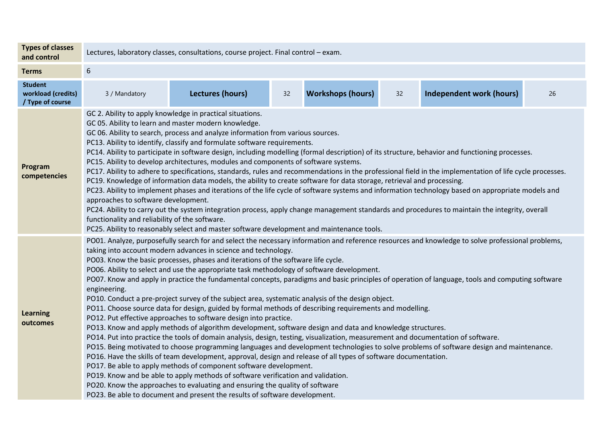| <b>Types of classes</b><br>and control                   | Lectures, laboratory classes, consultations, course project. Final control - exam.                                                                                                                                                                                                                                                                                                                                                                                                                                                                                                                                                                                                                                                                                                                                                                                                                                                                                                                                                                                                                                                                                                                                                                                                                                                                                                                                                                                                                                                                                                                                                                                                                                                                                                                |                         |    |                          |    |                                 |    |  |
|----------------------------------------------------------|---------------------------------------------------------------------------------------------------------------------------------------------------------------------------------------------------------------------------------------------------------------------------------------------------------------------------------------------------------------------------------------------------------------------------------------------------------------------------------------------------------------------------------------------------------------------------------------------------------------------------------------------------------------------------------------------------------------------------------------------------------------------------------------------------------------------------------------------------------------------------------------------------------------------------------------------------------------------------------------------------------------------------------------------------------------------------------------------------------------------------------------------------------------------------------------------------------------------------------------------------------------------------------------------------------------------------------------------------------------------------------------------------------------------------------------------------------------------------------------------------------------------------------------------------------------------------------------------------------------------------------------------------------------------------------------------------------------------------------------------------------------------------------------------------|-------------------------|----|--------------------------|----|---------------------------------|----|--|
| <b>Terms</b>                                             | 6                                                                                                                                                                                                                                                                                                                                                                                                                                                                                                                                                                                                                                                                                                                                                                                                                                                                                                                                                                                                                                                                                                                                                                                                                                                                                                                                                                                                                                                                                                                                                                                                                                                                                                                                                                                                 |                         |    |                          |    |                                 |    |  |
| <b>Student</b><br>workload (credits)<br>/ Type of course | 3 / Mandatory                                                                                                                                                                                                                                                                                                                                                                                                                                                                                                                                                                                                                                                                                                                                                                                                                                                                                                                                                                                                                                                                                                                                                                                                                                                                                                                                                                                                                                                                                                                                                                                                                                                                                                                                                                                     | <b>Lectures (hours)</b> | 32 | <b>Workshops (hours)</b> | 32 | <b>Independent work (hours)</b> | 26 |  |
| Program<br>competencies                                  | GC 2. Ability to apply knowledge in practical situations.<br>GC 05. Ability to learn and master modern knowledge.<br>GC 06. Ability to search, process and analyze information from various sources.<br>PC13. Ability to identify, classify and formulate software requirements.<br>PC14. Ability to participate in software design, including modelling (formal description) of its structure, behavior and functioning processes.<br>PC15. Ability to develop architectures, modules and components of software systems.<br>PC17. Ability to adhere to specifications, standards, rules and recommendations in the professional field in the implementation of life cycle processes.<br>PC19. Knowledge of information data models, the ability to create software for data storage, retrieval and processing.<br>PC23. Ability to implement phases and iterations of the life cycle of software systems and information technology based on appropriate models and<br>approaches to software development.<br>PC24. Ability to carry out the system integration process, apply change management standards and procedures to maintain the integrity, overall<br>functionality and reliability of the software.                                                                                                                                                                                                                                                                                                                                                                                                                                                                                                                                                                                  |                         |    |                          |    |                                 |    |  |
| <b>Learning</b><br>outcomes                              | PC25. Ability to reasonably select and master software development and maintenance tools.<br>PO01. Analyze, purposefully search for and select the necessary information and reference resources and knowledge to solve professional problems,<br>taking into account modern advances in science and technology.<br>PO03. Know the basic processes, phases and iterations of the software life cycle.<br>PO06. Ability to select and use the appropriate task methodology of software development.<br>PO07. Know and apply in practice the fundamental concepts, paradigms and basic principles of operation of language, tools and computing software<br>engineering.<br>PO10. Conduct a pre-project survey of the subject area, systematic analysis of the design object.<br>PO11. Choose source data for design, guided by formal methods of describing requirements and modelling.<br>PO12. Put effective approaches to software design into practice.<br>PO13. Know and apply methods of algorithm development, software design and data and knowledge structures.<br>PO14. Put into practice the tools of domain analysis, design, testing, visualization, measurement and documentation of software.<br>PO15. Being motivated to choose programming languages and development technologies to solve problems of software design and maintenance.<br>PO16. Have the skills of team development, approval, design and release of all types of software documentation.<br>PO17. Be able to apply methods of component software development.<br>PO19. Know and be able to apply methods of software verification and validation.<br>PO20. Know the approaches to evaluating and ensuring the quality of software<br>PO23. Be able to document and present the results of software development. |                         |    |                          |    |                                 |    |  |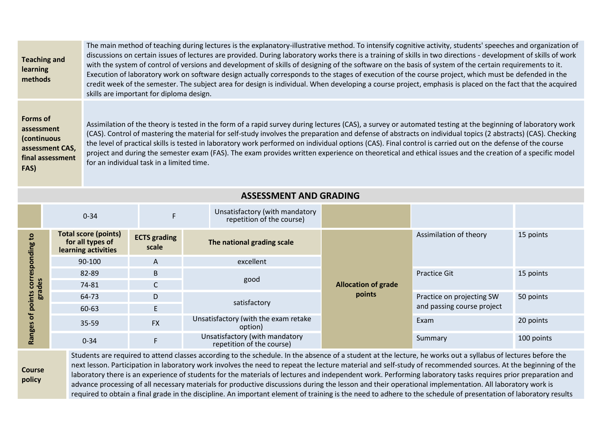| <b>Teaching and</b><br>learning<br>methods                                                  | The main method of teaching during lectures is the explanatory-illustrative method. To intensify cognitive activity, students' speeches and organization of<br>discussions on certain issues of lectures are provided. During laboratory works there is a training of skills in two directions - development of skills of work<br>with the system of control of versions and development of skills of designing of the software on the basis of system of the certain requirements to it.<br>Execution of laboratory work on software design actually corresponds to the stages of execution of the course project, which must be defended in the<br>credit week of the semester. The subject area for design is individual. When developing a course project, emphasis is placed on the fact that the acquired<br>skills are important for diploma design. |
|---------------------------------------------------------------------------------------------|-------------------------------------------------------------------------------------------------------------------------------------------------------------------------------------------------------------------------------------------------------------------------------------------------------------------------------------------------------------------------------------------------------------------------------------------------------------------------------------------------------------------------------------------------------------------------------------------------------------------------------------------------------------------------------------------------------------------------------------------------------------------------------------------------------------------------------------------------------------|
| <b>Forms of</b><br>assessment<br>(continuous<br>assessment CAS,<br>final assessment<br>FAS) | Assimilation of the theory is tested in the form of a rapid survey during lectures (CAS), a survey or automated testing at the beginning of laboratory work<br>(CAS). Control of mastering the material for self-study involves the preparation and defense of abstracts on individual topics (2 abstracts) (CAS). Checking<br>the level of practical skills is tested in laboratory work performed on individual options (CAS). Final control is carried out on the defense of the course<br>project and during the semester exam (FAS). The exam provides written experience on theoretical and ethical issues and the creation of a specific model<br>for an individual task in a limited time.                                                                                                                                                          |

|                                                                           | $0 - 34$                                                               | F.                           | Unsatisfactory (with mandatory<br>repetition of the course) |                                      |                            |            |  |
|---------------------------------------------------------------------------|------------------------------------------------------------------------|------------------------------|-------------------------------------------------------------|--------------------------------------|----------------------------|------------|--|
| ខ<br>gui<br>등<br>des<br>$\mathbf{c}$<br>gra<br>nts<br>ā<br>ъ<br>nges<br>ဥ | <b>Total score (points)</b><br>for all types of<br>learning activities | <b>ECTS</b> grading<br>scale | The national grading scale                                  |                                      | Assimilation of theory     | 15 points  |  |
|                                                                           | 90-100                                                                 | A                            | excellent                                                   | <b>Allocation of grade</b><br>points |                            |            |  |
|                                                                           | 82-89                                                                  | B                            |                                                             |                                      | <b>Practice Git</b>        | 15 points  |  |
|                                                                           | 74-81                                                                  |                              | good                                                        |                                      |                            |            |  |
|                                                                           | 64-73                                                                  | D                            |                                                             |                                      | Practice on projecting SW  | 50 points  |  |
|                                                                           | 60-63                                                                  |                              | satisfactory                                                |                                      | and passing course project |            |  |
|                                                                           | 35-59                                                                  | <b>FX</b>                    | Unsatisfactory (with the exam retake<br>option)             |                                      | Exam                       | 20 points  |  |
|                                                                           | $0 - 34$                                                               |                              | Unsatisfactory (with mandatory<br>repetition of the course) |                                      | Summary                    | 100 points |  |

**Course policy**

Students are required to attend classes according to the schedule. In the absence of a student at the lecture, he works out a syllabus of lectures before the next lesson. Participation in laboratory work involves the need to repeat the lecture material and self-study of recommended sources. At the beginning of the laboratory there is an experience of students for the materials of lectures and independent work. Performing laboratory tasks requires prior preparation and advance processing of all necessary materials for productive discussions during the lesson and their operational implementation. All laboratory work is required to obtain a final grade in the discipline. An important element of training is the need to adhere to the schedule of presentation of laboratory results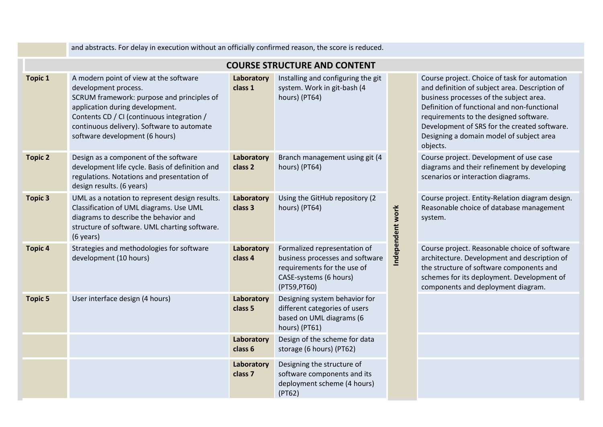|                |                                                                                                                                                                                                                                                                               |                                  | <b>COURSE STRUCTURE AND CONTENT</b>                                                                                                     |                  |                                                                                                   |  |
|----------------|-------------------------------------------------------------------------------------------------------------------------------------------------------------------------------------------------------------------------------------------------------------------------------|----------------------------------|-----------------------------------------------------------------------------------------------------------------------------------------|------------------|---------------------------------------------------------------------------------------------------|--|
| <b>Topic 1</b> | A modern point of view at the software<br>development process.<br>SCRUM framework: purpose and principles of<br>application during development.<br>Contents CD / CI (continuous integration /<br>continuous delivery). Software to automate<br>software development (6 hours) | Laboratory<br>class 1            | Installing and configuring the git<br>system. Work in git-bash (4<br>hours) (PT64)                                                      |                  | Course pr<br>and defin<br>business<br>Definition<br>requirem<br>Developn<br>Designing<br>objects. |  |
| <b>Topic 2</b> | Design as a component of the software<br>development life cycle. Basis of definition and<br>regulations. Notations and presentation of<br>design results. (6 years)                                                                                                           | Laboratory<br>class <sub>2</sub> | Branch management using git (4<br>hours) (PT64)                                                                                         |                  | Course pr<br>diagrams<br>scenarios                                                                |  |
| <b>Topic 3</b> | UML as a notation to represent design results.<br>Classification of UML diagrams. Use UML<br>diagrams to describe the behavior and<br>structure of software. UML charting software.<br>(6 years)                                                                              | Laboratory<br>class 3            | Using the GitHub repository (2<br>hours) (PT64)                                                                                         | Independent work | Course pr<br>Reasonab<br>system.                                                                  |  |
| <b>Topic 4</b> | Strategies and methodologies for software<br>development (10 hours)                                                                                                                                                                                                           | Laboratory<br>class 4            | Formalized representation of<br>business processes and software<br>requirements for the use of<br>CASE-systems (6 hours)<br>(PT59,PT60) |                  | Course pr<br>architectu<br>the struct<br>schemes <sup>-</sup><br>compone                          |  |
| <b>Topic 5</b> | User interface design (4 hours)                                                                                                                                                                                                                                               | Laboratory<br>class 5            | Designing system behavior for<br>different categories of users<br>based on UML diagrams (6<br>hours) (PT61)                             |                  |                                                                                                   |  |
|                |                                                                                                                                                                                                                                                                               | Laboratory<br>class 6            | Design of the scheme for data<br>storage (6 hours) (PT62)                                                                               |                  |                                                                                                   |  |
|                |                                                                                                                                                                                                                                                                               | Laboratory<br>class <sub>7</sub> | Designing the structure of<br>software components and its<br>deployment scheme (4 hours)<br>(PT62)                                      |                  |                                                                                                   |  |

and abstracts. For delay in execution without an officially confirmed reason, the score is reduced.

roject. Choice of task for automation ition of subject area. Description of processes of the subject area. n of functional and non-functional ents to the designed software. nent of SRS for the created software. g a domain model of subject area

roject. Development of use case and their refinement by developing or interaction diagrams.

roject. Entity-Relation diagram design. ble choice of database management

roject. Reasonable choice of software ure. Development and description of ture of software components and for its deployment. Development of ents and deployment diagram.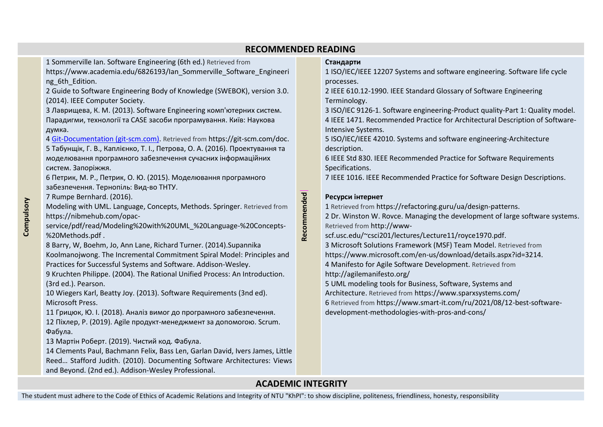## **RECOMMENDED READING**

1 Sommerville Ian. Software Engineering (6th еd.) Rеtrieved from

[https://www.academia.edu/6826193/Ian\\_Sommerville\\_Software\\_Engineeri](https://www.academia.edu/6826193/Ian_Sommerville_Software_Engineering_6th_Edition) ng 6th Edition.

2 Guide to Software Engineering Body of Knowledge (SWEBOK), version 3.0. (2014). IEEE Computer Society.

3 Лаврищева, К. М. (2013). Software Engineering комп'ютерних систем. Парадигми, технології та CASE засоби програмування. Київ: Наукова думка.

4 [Git-Documentation \(git-scm.com\).](Git-Documentation%20(git-scm.com)) Rеtrieved from https://git-scm.com/doc.

5 Табунщік, Г. В., Каплієнко, Т. І., Петрова, О. А. (2016). Проектування та моделювання програмного забезпечення сучасних інформаційних систем. Запоріжжя.

6 Петрик, М. Р., Петрик, О. Ю. (2015). Моделювання програмного забезпечення. Тернопіль: Вид-во ТНТУ.

7 Rumpe Bernhard. (2016).

Modeling with UML. Language, Concepts, Methods. Springer. Rеtrieved from https://nibmehub.com/opac-

service/pdf/read/Modeling%20with%20UML\_%20Language-%20Concepts- %20Methods.pdf .

8 Barry, W, [Boehm,](https://www.google.com.ua/search?hl=ru&tbo=p&tbm=bks&q=inauthor:%22Barry+W.+Boehm%22) Jo, [Ann Lane,](https://www.google.com.ua/search?hl=ru&tbo=p&tbm=bks&q=inauthor:%22Jo+Ann+Lane%22) [Richard Turner.](https://www.google.com.ua/search?hl=ru&tbo=p&tbm=bks&q=inauthor:%22Richard+Turner%22) (2014)[.Supannika](https://www.google.com.ua/search?hl=ru&tbo=p&tbm=bks&q=inauthor:%22Supannika+Koolmanojwong%22)  [Koolmanojwong.](https://www.google.com.ua/search?hl=ru&tbo=p&tbm=bks&q=inauthor:%22Supannika+Koolmanojwong%22) The Incremental Commitment Spiral Model: Principles and Practices for Successful Systems and Software. Addison-Wesley.

9 Kruchten Philippe. (2004). The Rational Unified Process: An Introduction. (3rd ed.). Pearson.

10 Wiegers Karl, Beatty Joy. (2013). Software Requirements (3nd ed). Microsoft Press.

11 Грицюк, Ю. І. (2018). Аналіз вимог до програмного забезпечення.

12 [Піхлер](https://www.ranok.com.ua/author/pihler-r-305.html), Р. (2019). Agile продукт-менеджмент за допомогою. Scrum. Фабула.

13 Мартін Роберт. (2019). Чистий код. Фабула.

14 Clements Paul, Bachmann Felix, Bass Len, Garlan David, Ivers James, Little Reed… Stafford Judith. (2010). Documenting Software Architectures: Views and Beyond. (2nd еd.). Addison-Wesley Professional.

## **Стандарти**

1 ISO/IEC/IEEE 12207 Systems and software engineering. Software life cycle processes.

2 IEEE 610.12-1990. IEEE Standard Glossary of Software Engineering Terminology.

3 ISO/IEC 9126-1. Software engineering-Product quality-Part 1: Quality model. 4 IEEE 1471. Recommended Practice for Architectural Description of Software-Intensive Systems.

5 ISO/IEC/IEEE 42010. Systems and software engineering-Architecture description.

6 IEEE Std 830. IEEE Recommended Practice for Software Requirements Specifications.

7 IEEE 1016. [IEEE Recommended Practice for Software Design Descriptions.](https://standards.ieee.org/standard/1016-1987.html)

## **Ресурси інтернет**

1 Rеtrieved from https://refactoring.guru/ua/design-patterns.

2 Dr. Winston W. Rovce. Managing the development of large software systems. Rеtrieved from [http://www-](http://www-scf.usc.edu/~csci201/lectures/Lecture11/royce1970.pdf)

[scf.usc.edu/~csci201/lectures/Lecture11/royce1970.pdf.](http://www-scf.usc.edu/~csci201/lectures/Lecture11/royce1970.pdf)

3 Microsoft Solutions Framework (MSF) Team Model. Rеtrieved from https://www.microsoft.com/en-us/download/details.aspx?id=3214.

4 Manifesto for Agile Software Development. Rеtrieved from

http://agilemanifesto.org/

5 UML modeling tools for Business, Software, Systems and

Architecture. Rеtrieved from https://www.sparxsystems.com/

6 Rеtrieved from https://www.smart-it.com/ru/2021/08/12-best-softwaredevelopment-methodologies-with-pros-and-cons/

## **ACADEMIC INTEGRITY**

**Recommended**

Recommended

The student must adhere to the Code of Ethics of Academic Relations and Integrity of NTU "KhPI": to show discipline, politeness, friendliness, honesty, responsibility